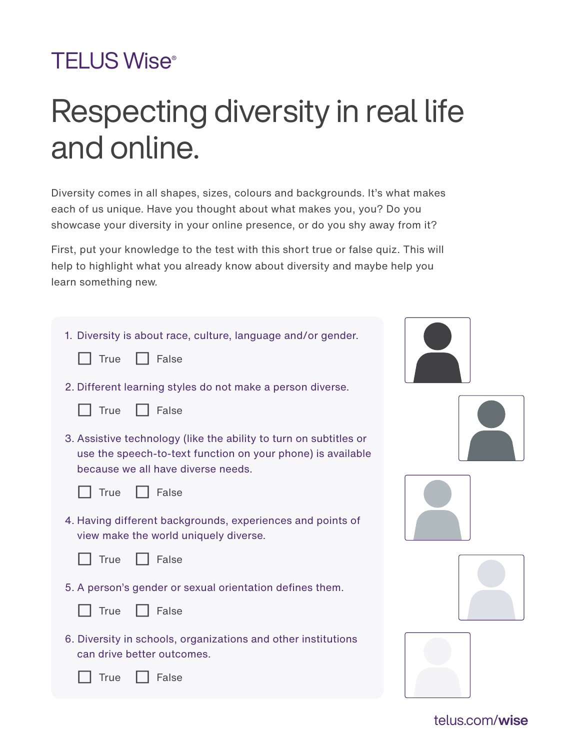## **TELUS Wise®**

## Respecting diversity in real life and online.

Diversity comes in all shapes, sizes, colours and backgrounds. It's what makes each of us unique. Have you thought about what makes you, you? Do you showcase your diversity in your online presence, or do you shy away from it?

First, put your knowledge to the test with this short true or false quiz. This will help to highlight what you already know about diversity and maybe help you learn something new.

| 1. Diversity is about race, culture, language and/or gender.<br>False<br><b>True</b>                                                                                   |  |
|------------------------------------------------------------------------------------------------------------------------------------------------------------------------|--|
| 2. Different learning styles do not make a person diverse.                                                                                                             |  |
| False<br><b>True</b>                                                                                                                                                   |  |
| 3. Assistive technology (like the ability to turn on subtitles or<br>use the speech-to-text function on your phone) is available<br>because we all have diverse needs. |  |
| False<br><b>True</b>                                                                                                                                                   |  |
| 4. Having different backgrounds, experiences and points of<br>view make the world uniquely diverse.                                                                    |  |
| False<br><b>True</b>                                                                                                                                                   |  |
| 5. A person's gender or sexual orientation defines them.                                                                                                               |  |
| False<br><b>True</b>                                                                                                                                                   |  |
| 6. Diversity in schools, organizations and other institutions<br>can drive better outcomes.                                                                            |  |
| False<br>True                                                                                                                                                          |  |

[telus.com/](https://www.telus.com/en/wise)wise